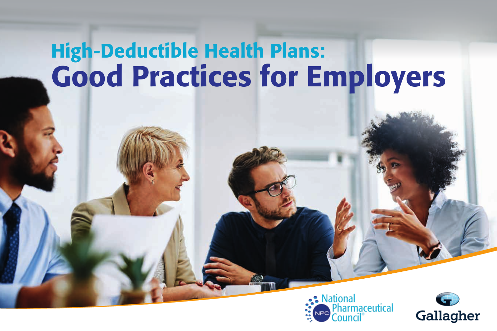# High-Deductible Health Plans: Good Practices for Employers



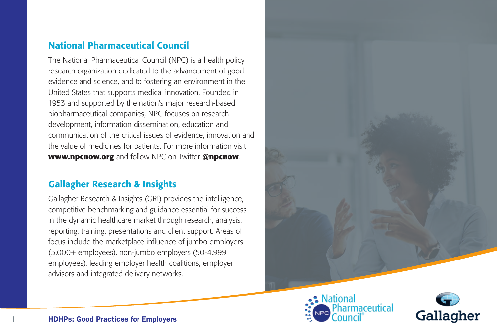#### National Pharmaceutical Council

The National Pharmaceutical Council (NPC) is a health policy research organization dedicated to the advancement of good evidence and science, and to fostering an environment in the United States that supports medical innovation. Founded in 1953 and supported by the nation's major research-based biopharmaceutical companies, NPC focuses on research development, information dissemination, education and communication of the critical issues of evidence, innovation and the value of medicines for patients. For more information visit **www.npcnow.org** and follow NPC on Twitter **@npcnow**.

#### Gallagher Research & Insights

Gallagher Research & Insights (GRI) provides the intelligence, competitive benchmarking and guidance essential for success in the dynamic healthcare market through research, analysis, reporting, training, presentations and client support. Areas of focus include the marketplace influence of jumbo employers (5,000+ employees), non-jumbo employers (50-4,999 employees), leading employer health coalitions, employer advisors and integrated delivery networks.





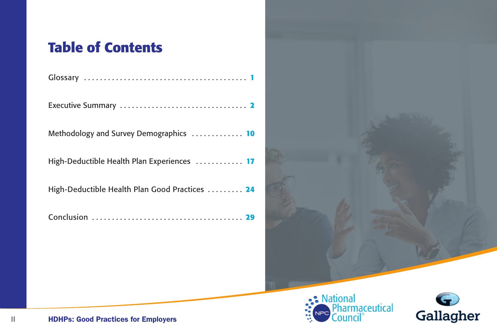## **Table of Contents**

Methodology and Survey Demographics . . . . . . . . . . . . **10**

High-Deductible Health Plan Experiences . . . . . . . . . . . **17**

High-Deductible Health Plan Good Practices . . . . . . . . . **24**

Conclusion . . . . . . . . . . . . . . . . . . . . . . . . . . . . . . . . . . . . . . **29**





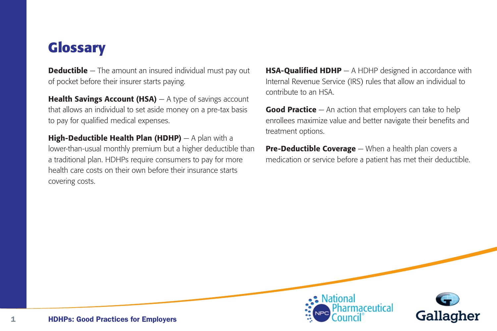## **Glossary**

**Deductible** – The amount an insured individual must pay out of pocket before their insurer starts paying.

**Health Savings Account (HSA)**  $-$  A type of savings account that allows an individual to set aside money on a pre-tax basis to pay for qualified medical expenses.

**High-Deductible Health Plan (HDHP)**  $- A$  plan with a lower-than-usual monthly premium but a higher deductible than a traditional plan. HDHPs require consumers to pay for more health care costs on their own before their insurance starts covering costs.

HSA-Qualified HDHP — A HDHP designed in accordance with Internal Revenue Service (IRS) rules that allow an individual to contribute to an HSA.

**Good Practice**  $-$  An action that employers can take to help enrollees maximize value and better navigate their benefits and treatment options.

**Pre-Deductible Coverage** — When a health plan covers a medication or service before a patient has met their deductible.



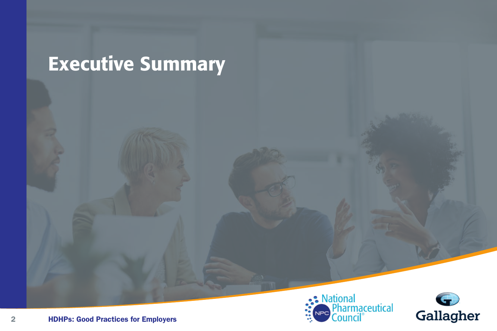# Executive Summary



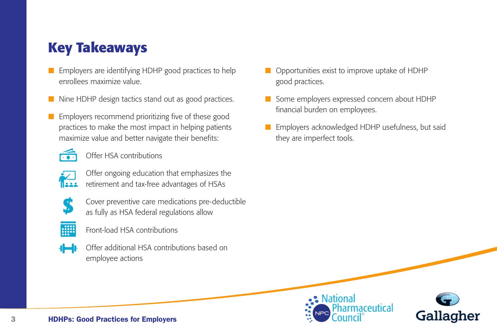# **Key Takeaways**

- Employers are identifying HDHP good practices to help enrollees maximize value.
- Nine HDHP design tactics stand out as good practices.
- Employers recommend prioritizing five of these good practices to make the most impact in helping patients maximize value and better navigate their benefits:



Offer HSA contributions



 Offer ongoing education that emphasizes the retirement and tax-free advantages of HSAs



 Cover preventive care medications pre-deductible as fully as HSA federal regulations allow



Front-load HSA contributions



 Offer additional HSA contributions based on employee actions

- Opportunities exist to improve uptake of HDHP good practices.
- Some employers expressed concern about HDHP financial burden on employees.
- Employers acknowledged HDHP usefulness, but said they are imperfect tools.



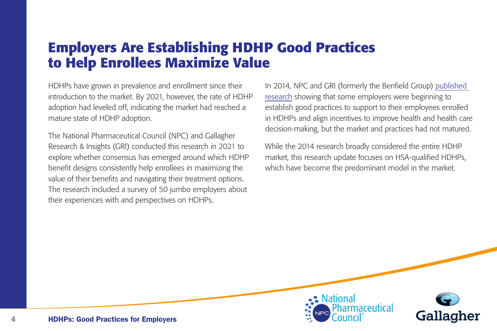## **Employers Are Establishing HDHP Good Practices to Help Enrollees Maximize Value**

HDHPs have grown in prevalence and enrollment since their introduction to the market. By 2021, however, the rate of HDHP adoption had leveled off, indicating the market had reached a mature state of HDHP adoption.

The National Pharmaceutical Council (NPC) and Gallagher Research & Insights (GRI) conducted this research in 2021 to explore whether consensus has emerged around which HDHP benefit designs consistently help enrollees in maximizing the value of their benefits and navigating their treatment options. The research included a survey of 50 jumbo employers about their experiences with and perspectives on HDHPs.

In 2014, NPC and GRI (formerly the Benfield Group) published research showing that some employers were beginning to establish good practices to support to their employees enrolled in HDHPs and align incentives to improve health and health care decision-making, but the market and practices had not matured.

While the 2014 research broadly considered the entire HDHP market, this research update focuses on HSA-qualified HDHPs, which have become the predominant model in the market.



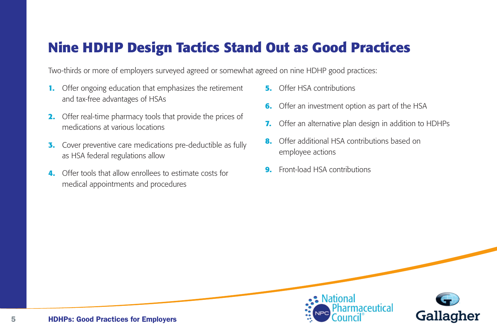## **Nine HDHP Design Tactics Stand Out as Good Practices**

Two-thirds or more of employers surveyed agreed or somewhat agreed on nine HDHP good practices:

- **1.** Offer ongoing education that emphasizes the retirement and tax-free advantages of HSAs
- **2.** Offer real-time pharmacy tools that provide the prices of medications at various locations
- **3.** Cover preventive care medications pre-deductible as fully as HSA federal regulations allow
- **4.** Offer tools that allow enrollees to estimate costs for medical appointments and procedures
- **5.** Offer HSA contributions
- **6.** Offer an investment option as part of the HSA
- **7.** Offer an alternative plan design in addition to HDHPs
- **8.** Offer additional HSA contributions based on employee actions
- **9.** Front-load HSA contributions



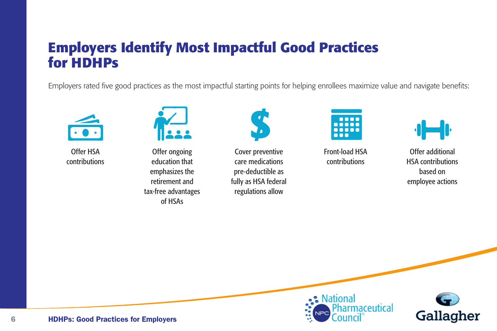## **Employers Identify Most Impactful Good Practices for HDHPs**

Employers rated five good practices as the most impactful starting points for helping enrollees maximize value and navigate benefits:



Offer HSA contributions



Offer ongoing education that emphasizes the retirement and tax-free advantages of HSAs



Cover preventive care medications pre-deductible as fully as HSA federal regulations allow



Front-load HSA contributions



Offer additional HSA contributions based on employee actions



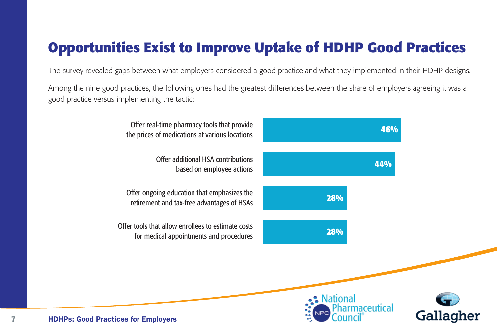# **Opportunities Exist to Improve Uptake of HDHP Good Practices**

The survey revealed gaps between what employers considered a good practice and what they implemented in their HDHP designs.

Among the nine good practices, the following ones had the greatest differences between the share of employers agreeing it was a good practice versus implementing the tactic:

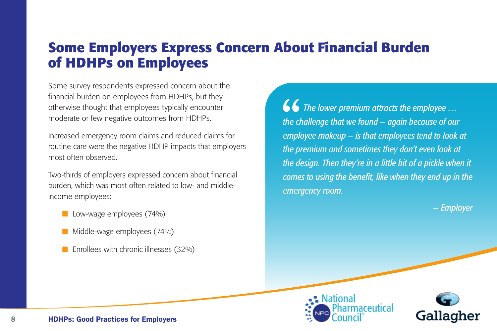### **Some Employers Express Concern About Financial Burden of HDHPs on Employees**

Some survey respondents expressed concern about the financial burden on employees from HDHPs, but they otherwise thought that employees typically encounter moderate or few negative outcomes from HDHPs.

Increased emergency room claims and reduced claims for routine care were the negative HDHP impacts that employers most often observed.

Two-thirds of employers expressed concern about financial burden, which was most often related to low- and middleincome employees:

- Low-wage employees (74%)
- Middle-wage employees (74%)
- Enrollees with chronic illnesses (32%)

 *The lower premium attracts the employee … the challenge that we found — again because of our employee makeup — is that employees tend to look at the premium and sometimes they don't even look at the design. Then they're in a little bit of a pickle when it comes to using the benefit, like when they end up in the emergency room.*

*— Employer*



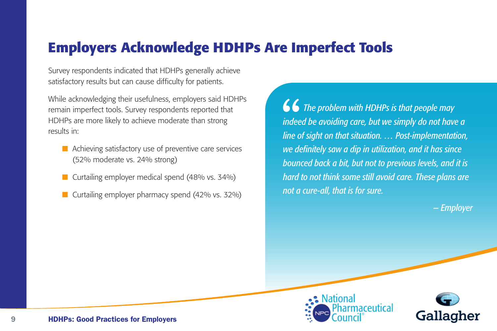## **Employers Acknowledge HDHPs Are Imperfect Tools**

Survey respondents indicated that HDHPs generally achieve satisfactory results but can cause difficulty for patients.

While acknowledging their usefulness, employers said HDHPs remain imperfect tools. Survey respondents reported that HDHPs are more likely to achieve moderate than strong results in:

- Achieving satisfactory use of preventive care services (52% moderate vs. 24% strong)
- Curtailing employer medical spend (48% vs. 34%)
- Curtailing employer pharmacy spend (42% vs. 32%)

 *The problem with HDHPs is that people may indeed be avoiding care, but we simply do not have a line of sight on that situation. … Post-implementation, we definitely saw a dip in utilization, and it has since bounced back a bit, but not to previous levels, and it is hard to not think some still avoid care. These plans are not a cure-all, that is for sure.*

*— Employer*



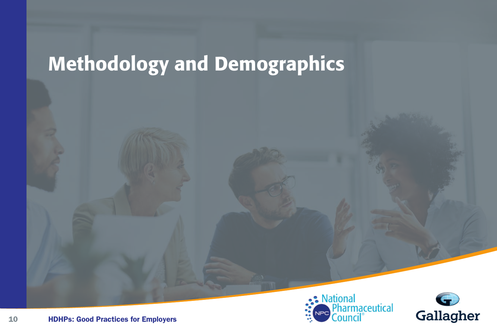# Methodology and Demographics



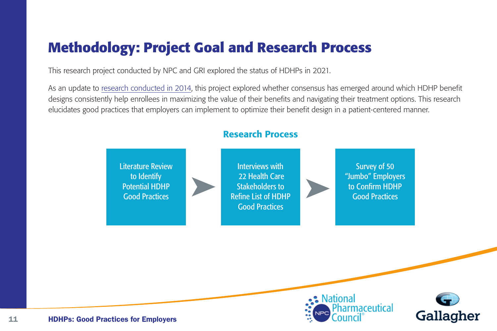# **Methodology: Project Goal and Research Process**

This research project conducted by NPC and GRI explored the status of HDHPs in 2021.

As an update to research conducted in 2014, this project explored whether consensus has emerged around which HDHP benefit designs consistently help enrollees in maximizing the value of their benefits and navigating their treatment options. This research elucidates good practices that employers can implement to optimize their benefit design in a patient-centered manner.



• National

armaceutical

Gallagher

#### Research Process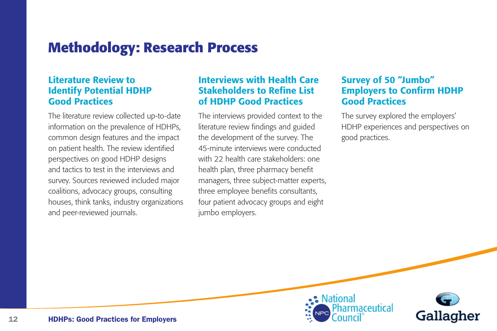### **Methodology: Research Process**

#### Literature Review to Identify Potential HDHP Good Practices

The literature review collected up-to-date information on the prevalence of HDHPs, common design features and the impact on patient health. The review identified perspectives on good HDHP designs and tactics to test in the interviews and survey. Sources reviewed included major coalitions, advocacy groups, consulting houses, think tanks, industry organizations and peer-reviewed journals.

#### Interviews with Health Care Stakeholders to Refine List of HDHP Good Practices

The interviews provided context to the literature review findings and guided the development of the survey. The 45-minute interviews were conducted with 22 health care stakeholders: one health plan, three pharmacy benefit managers, three subject-matter experts, three employee benefits consultants, four patient advocacy groups and eight jumbo employers.

#### Survey of 50 "Jumbo" Employers to Confirm HDHP Good Practices

The survey explored the employers' HDHP experiences and perspectives on good practices.



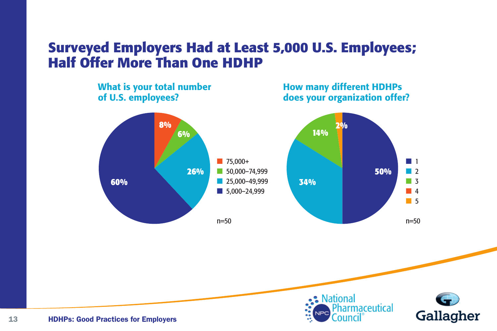## **Surveyed Employers Had at Least 5,000 U.S. Employees; Half Offer More Than One HDHP**



What is your total number

#### How many different HDHPs does your organization offer?





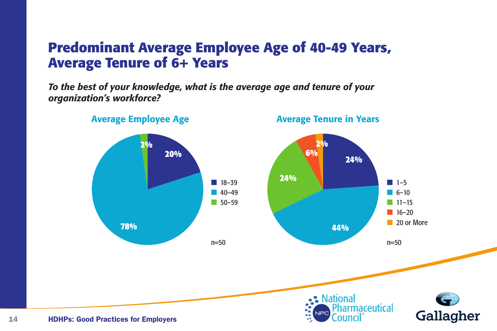### **Predominant Average Employee Age of 40-49 Years, Average Tenure of 6+ Years**

*To the best of your knowledge, what is the average age and tenure of your organization's workforce?*

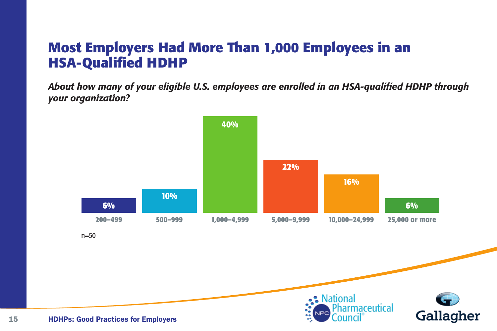### **Most Employers Had More Than 1,000 Employees in an HSA-Qualified HDHP**

*About how many of your eligible U.S. employees are enrolled in an HSA-qualified HDHP through your organization?* **78% 44%**

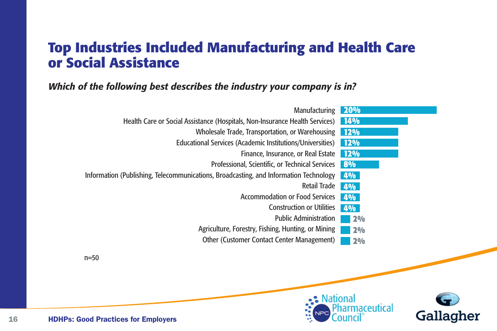## **Top Industries Included Manufacturing and Health Care or Social Assistance**

#### *Which of the following best describes the industry your company is in?*

| Manufacturing                                                                         | 20%        |
|---------------------------------------------------------------------------------------|------------|
| Health Care or Social Assistance (Hospitals, Non-Insurance Health Services)           | <b>14%</b> |
| Wholesale Trade, Transportation, or Warehousing                                       | <b>12%</b> |
| <b>Educational Services (Academic Institutions/Universities)</b>                      | <b>12%</b> |
| Finance, Insurance, or Real Estate                                                    | <b>12%</b> |
| Professional, Scientific, or Technical Services                                       | 8%         |
| Information (Publishing, Telecommunications, Broadcasting, and Information Technology | <b>4%</b>  |
| <b>Retail Trade</b>                                                                   | 4%         |
| <b>Accommodation or Food Services</b>                                                 | 4%         |
| <b>Construction or Utilities</b>                                                      | <b>4%</b>  |
| <b>Public Administration</b>                                                          | 2%         |
| Agriculture, Forestry, Fishing, Hunting, or Mining                                    | 2%         |
| <b>Other (Customer Contact Center Management)</b>                                     | 2%         |
| $n=50$                                                                                |            |



Gallagher

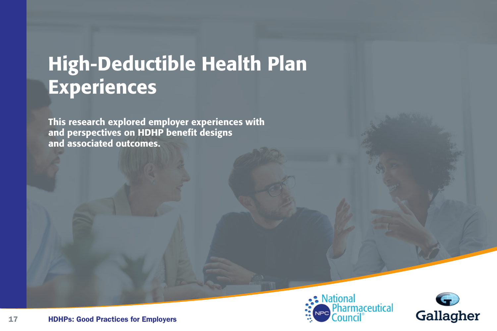# High-Deductible Health Plan Experiences

This research explored employer experiences with and perspectives on HDHP benefit designs and associated outcomes.



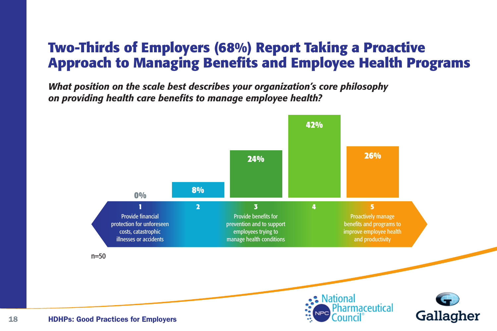## **Two-Thirds of Employers (68%) Report Taking a Proactive Approach to Managing Benefits and Employee Health Programs**

*What position on the scale best describes your organization's core philosophy on providing health care benefits to manage employee health?*

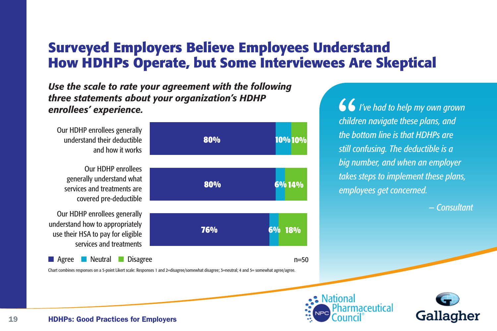## **Surveyed Employers Believe Employees Understand How HDHPs Operate, but Some Interviewees Are Skeptical**

*Use the scale to rate your agreement with the following three statements about your organization's HDHP enrollees' experience.*

Our HDHP enrollees generally understand their deductible and how it works Our HDHP enrollees generally understand what services and treatments are covered pre-deductible Our HDHP enrollees generally understand how to appropriately use their HSA to pay for eligible services and treatments ■ Agree ■ Neutral ■ Disagree **80% 80% 76% 10% 10% 6% 14% 6% 18%**  $n=50$ 

Chart combines responses on a 5-point Likert scale: Responses 1 and 2=disagree/somewhat disagree; 3=neutral; 4 and 5= somewhat agree/agree.

 *I've had to help my own grown children navigate these plans, and the bottom line is that HDHPs are still confusing. The deductible is a big number, and when an employer takes steps to implement these plans, employees get concerned.* 

*— Consultant*





19 HDHPs: Good Practices for Employers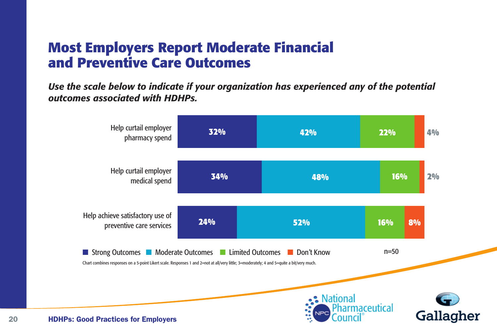### **Most Employers Report Moderate Financial and Preventive Care Outcomes**

*Use the scale below to indicate if your organization has experienced any of the potential outcomes associated with HDHPs.*

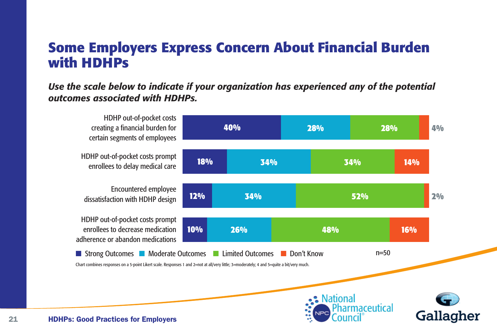#### **Some Employers Express Concern About Financial Burden with HDHPs**

*Use the scale below to indicate if your organization has experienced any of the potential outcomes associated with HDHPs.*

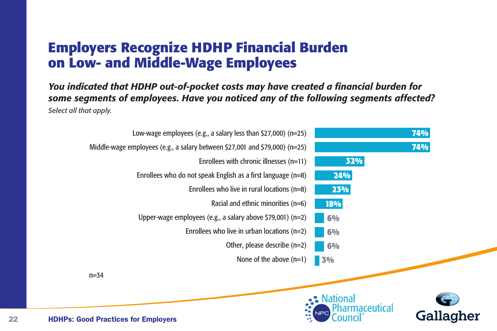## **Employers Recognize HDHP Financial Burden on Low- and Middle-Wage Employees**

*You indicated that HDHP out-of-pocket costs may have created a financial burden for some segments of employees. Have you noticed any of the following segments affected? Select all that apply.*

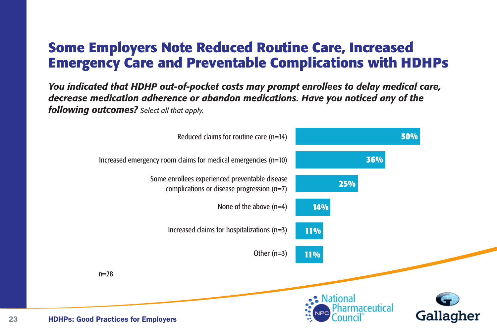## **Some Employers Note Reduced Routine Care, Increased Emergency Care and Preventable Complications with HDHPs**

*You indicated that HDHP out-of-pocket costs may prompt enrollees to delay medical care, decrease medication adherence or abandon medications. Have you noticed any of the following outcomes? Select all that apply.*

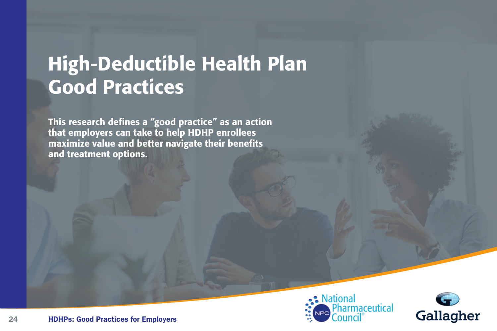# High-Deductible Health Plan Good Practices

This research defines a "good practice" as an action that employers can take to help HDHP enrollees maximize value and better navigate their benefits and treatment options.



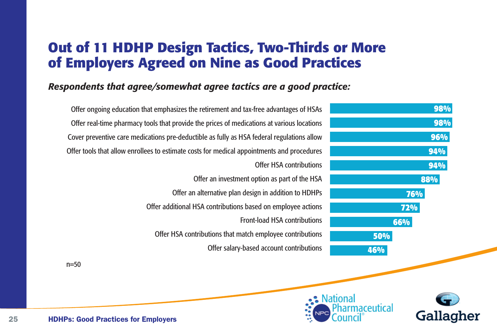### **Out of 11 HDHP Design Tactics, Two-Thirds or More of Employers Agreed on Nine as Good Practices**

#### *Respondents that agree/somewhat agree tactics are a good practice:*

| Offer ongoing education that emphasizes the retirement and tax-free advantages of HSAs     | 98%        |
|--------------------------------------------------------------------------------------------|------------|
| Offer real-time pharmacy tools that provide the prices of medications at various locations | 98%        |
| Cover preventive care medications pre-deductible as fully as HSA federal regulations allow | 96%        |
| Offer tools that allow enrollees to estimate costs for medical appointments and procedures | 94%        |
| Offer HSA contributions                                                                    | 94%        |
| Offer an investment option as part of the HSA                                              | 88%        |
| Offer an alternative plan design in addition to HDHPs                                      | 76%        |
| Offer additional HSA contributions based on employee actions                               | <b>72%</b> |
| <b>Front-load HSA contributions</b>                                                        | 66%        |
| Offer HSA contributions that match employee contributions                                  | 50%        |
| Offer salary-based account contributions                                                   | 46%        |
| $=50$                                                                                      |            |
|                                                                                            |            |
|                                                                                            |            |



 $n=50$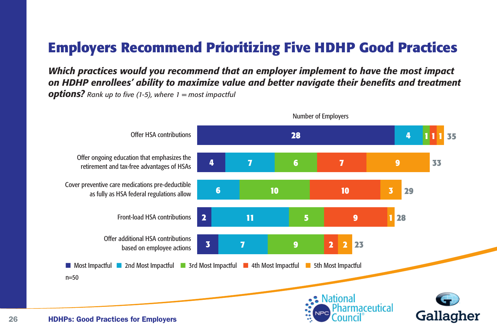# **Employers Recommend Prioritizing Five HDHP Good Practices**

*Which practices would you recommend that an employer implement to have the most impact on HDHP enrollees' ability to maximize value and better navigate their benefits and treatment options? Rank up to five (1-5), where 1 = most impactful*

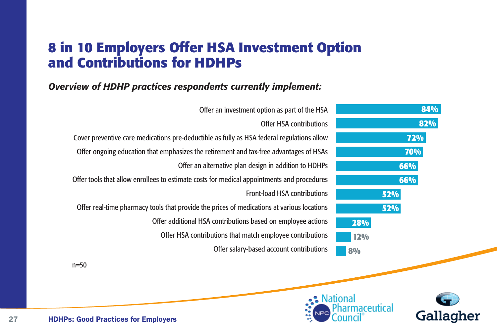### **8 in 10 Employers Offer HSA Investment Option and Contributions for HDHPs**

#### *Overview of HDHP practices respondents currently implement:*



 $n=50$ 



Gallagher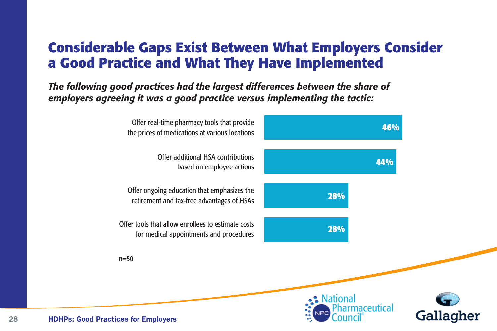## **Considerable Gaps Exist Between What Employers Consider a Good Practice and What They Have Implemented**

*The following good practices had the largest differences between the share of employers agreeing it was a good practice versus implementing the tactic:*

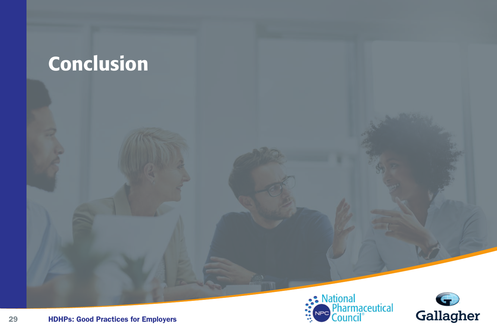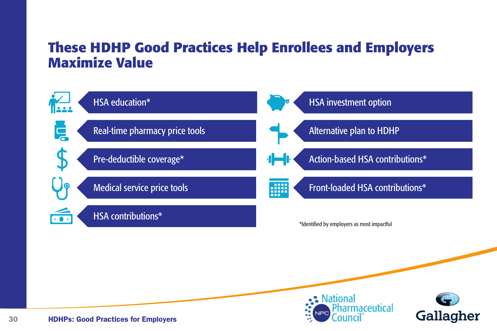## **These HDHP Good Practices Help Enrollees and Employers Maximize Value**



•• National

ıarmaceutical

Gallagher